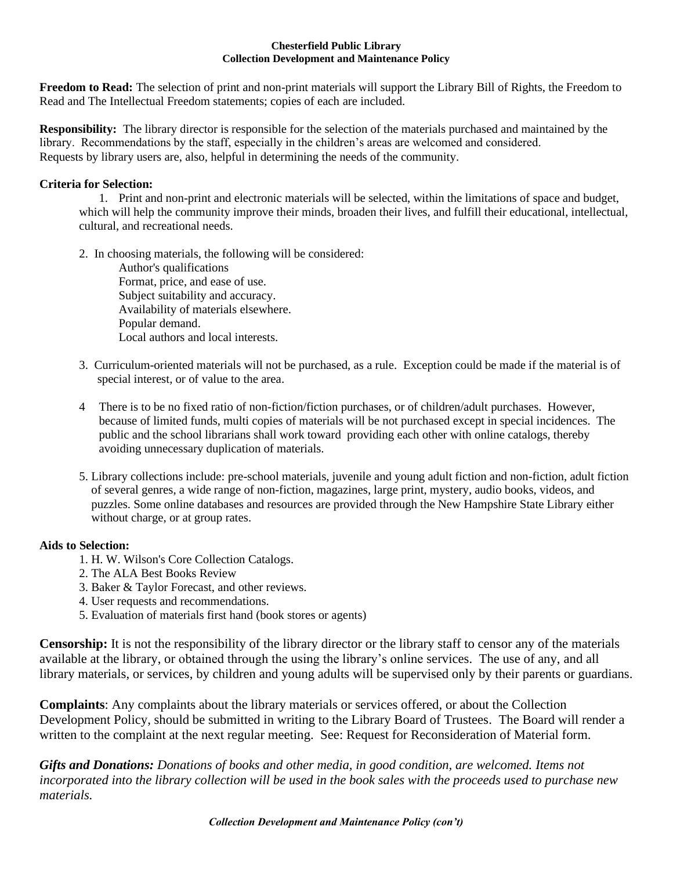#### **Chesterfield Public Library Collection Development and Maintenance Policy**

**Freedom to Read:** The selection of print and non-print materials will support the Library Bill of Rights, the Freedom to Read and The Intellectual Freedom statements; copies of each are included.

**Responsibility:** The library director is responsible for the selection of the materials purchased and maintained by the library. Recommendations by the staff, especially in the children's areas are welcomed and considered. Requests by library users are, also, helpful in determining the needs of the community.

#### **Criteria for Selection:**

1. Print and non-print and electronic materials will be selected, within the limitations of space and budget, which will help the community improve their minds, broaden their lives, and fulfill their educational, intellectual, cultural, and recreational needs.

2. In choosing materials, the following will be considered:

Author's qualifications Format, price, and ease of use. Subject suitability and accuracy. Availability of materials elsewhere. Popular demand. Local authors and local interests.

- 3. Curriculum-oriented materials will not be purchased, as a rule. Exception could be made if the material is of special interest, or of value to the area.
- 4 There is to be no fixed ratio of non-fiction/fiction purchases, or of children/adult purchases. However, because of limited funds, multi copies of materials will be not purchased except in special incidences. The public and the school librarians shall work toward providing each other with online catalogs, thereby avoiding unnecessary duplication of materials.
- 5. Library collections include: pre-school materials, juvenile and young adult fiction and non-fiction, adult fiction of several genres, a wide range of non-fiction, magazines, large print, mystery, audio books, videos, and puzzles. Some online databases and resources are provided through the New Hampshire State Library either without charge, or at group rates.

# **Aids to Selection:**

- 1. H. W. Wilson's Core Collection Catalogs.
- 2. The ALA Best Books Review
- 3. Baker & Taylor Forecast, and other reviews.
- 4. User requests and recommendations.
- 5. Evaluation of materials first hand (book stores or agents)

**Censorship:** It is not the responsibility of the library director or the library staff to censor any of the materials available at the library, or obtained through the using the library's online services. The use of any, and all library materials, or services, by children and young adults will be supervised only by their parents or guardians.

**Complaints**: Any complaints about the library materials or services offered, or about the Collection Development Policy, should be submitted in writing to the Library Board of Trustees. The Board will render a written to the complaint at the next regular meeting. See: Request for Reconsideration of Material form.

*Gifts and Donations: Donations of books and other media, in good condition, are welcomed. Items not incorporated into the library collection will be used in the book sales with the proceeds used to purchase new materials.*